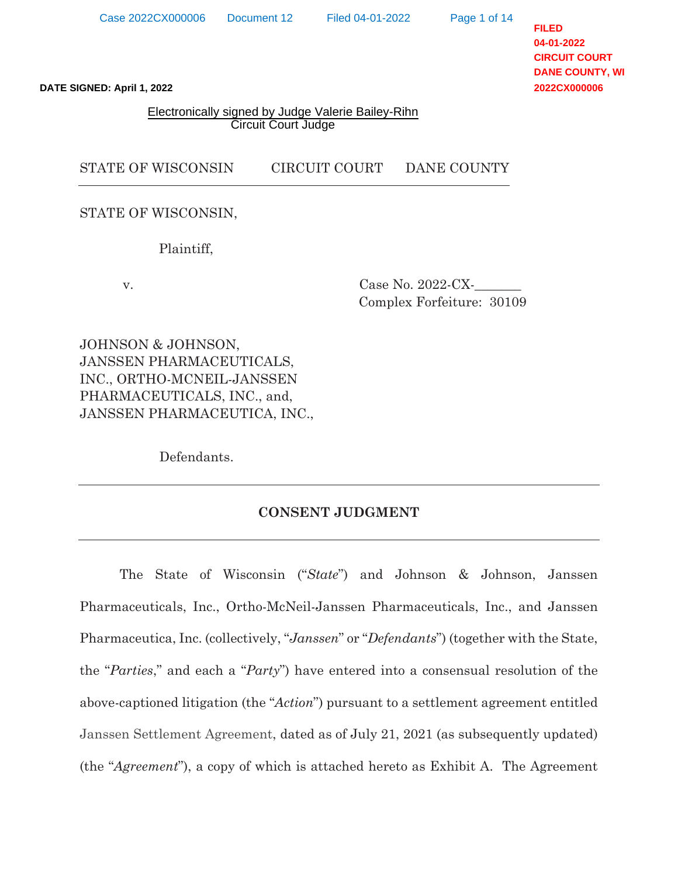Page 1 of 14

**FILED 04-01-2022 CIRCUIT COURT DANE COUNTY, WI 2022CX000006**

#### Electronically signed by Judge Valerie Bailey-Rihn Circuit Court Judge

## STATE OF WISCONSIN CIRCUIT COURT DANE COUNTY

STATE OF WISCONSIN,

Plaintiff,

 v. Case No. 2022-CX-\_\_\_\_\_\_\_ Complex Forfeiture: 30109

JOHNSON & JOHNSON, JANSSEN PHARMACEUTICALS, INC., ORTHO-MCNEIL-JANSSEN PHARMACEUTICALS, INC., and, JANSSEN PHARMACEUTICA, INC.,

Defendants.

## **CONSENT JUDGMENT**

The State of Wisconsin ("*State*") and Johnson & Johnson, Janssen Pharmaceuticals, Inc., Ortho-McNeil-Janssen Pharmaceuticals, Inc., and Janssen Pharmaceutica, Inc. (collectively, "*Janssen*" or "*Defendants*") (together with the State, the "*Parties*," and each a "*Party*") have entered into a consensual resolution of the above-captioned litigation (the "*Action*") pursuant to a settlement agreement entitled Janssen Settlement Agreement, dated as of July 21, 2021 (as subsequently updated) (the "Agreement"), a copy of which is attached hereto as Exhibit A. The Agreement<br>
STATE OF WISCONSIN.<br>
Thaintiff,<br>
TAGES COUNTY COURT DANE COUNTY<br>
STATE OF WISCONSIN.<br>
Plaintiff,<br>
TAGES COUNTSON, COUNTINUAL COURT COURT DA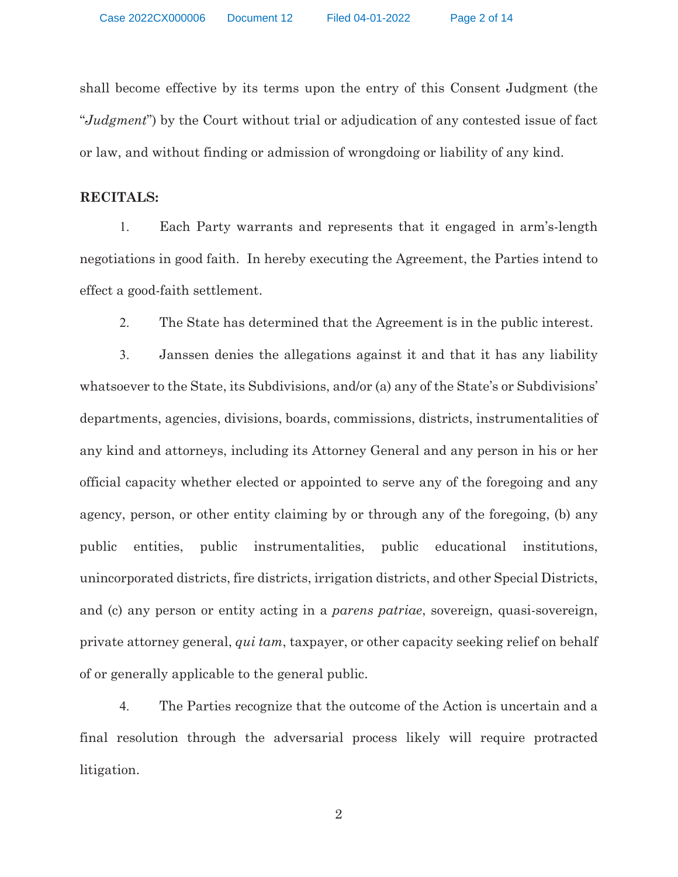shall become effective by its terms upon the entry of this Consent Judgment (the "*Judgment*") by the Court without trial or adjudication of any contested issue of fact or law, and without finding or admission of wrongdoing or liability of any kind.

### **RECITALS:**

1. Each Party warrants and represents that it engaged in arm's-length negotiations in good faith. In hereby executing the Agreement, the Parties intend to effect a good-faith settlement.

2. The State has determined that the Agreement is in the public interest.

3. Janssen denies the allegations against it and that it has any liability whatsoever to the State, its Subdivisions, and/or (a) any of the State's or Subdivisions' departments, agencies, divisions, boards, commissions, districts, instrumentalities of any kind and attorneys, including its Attorney General and any person in his or her official capacity whether elected or appointed to serve any of the foregoing and any agency, person, or other entity claiming by or through any of the foregoing, (b) any public entities, public instrumentalities, public educational institutions, unincorporated districts, fire districts, irrigation districts, and other Special Districts, and (c) any person or entity acting in a *parens patriae*, sovereign, quasi-sovereign, private attorney general, *qui tam*, taxpayer, or other capacity seeking relief on behalf of or generally applicable to the general public.

4. The Parties recognize that the outcome of the Action is uncertain and a final resolution through the adversarial process likely will require protracted litigation.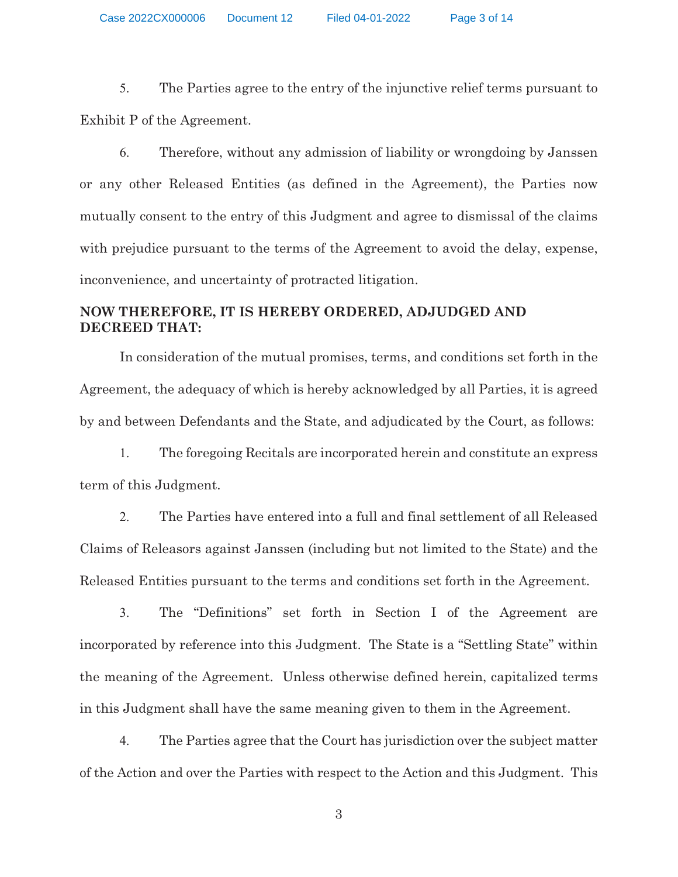Case 2022CX000006 Document 12 Filed 04-01-2022 Page 3 of 14

5. The Parties agree to the entry of the injunctive relief terms pursuant to Exhibit P of the Agreement.

6. Therefore, without any admission of liability or wrongdoing by Janssen or any other Released Entities (as defined in the Agreement), the Parties now mutually consent to the entry of this Judgment and agree to dismissal of the claims with prejudice pursuant to the terms of the Agreement to avoid the delay, expense, inconvenience, and uncertainty of protracted litigation.

## **NOW THEREFORE, IT IS HEREBY ORDERED, ADJUDGED AND DECREED THAT:**

In consideration of the mutual promises, terms, and conditions set forth in the Agreement, the adequacy of which is hereby acknowledged by all Parties, it is agreed by and between Defendants and the State, and adjudicated by the Court, as follows:

1. The foregoing Recitals are incorporated herein and constitute an express term of this Judgment.

2. The Parties have entered into a full and final settlement of all Released Claims of Releasors against Janssen (including but not limited to the State) and the Released Entities pursuant to the terms and conditions set forth in the Agreement.

3. The "Definitions" set forth in Section I of the Agreement are incorporated by reference into this Judgment. The State is a "Settling State" within the meaning of the Agreement. Unless otherwise defined herein, capitalized terms in this Judgment shall have the same meaning given to them in the Agreement.

4. The Parties agree that the Court has jurisdiction over the subject matter of the Action and over the Parties with respect to the Action and this Judgment. This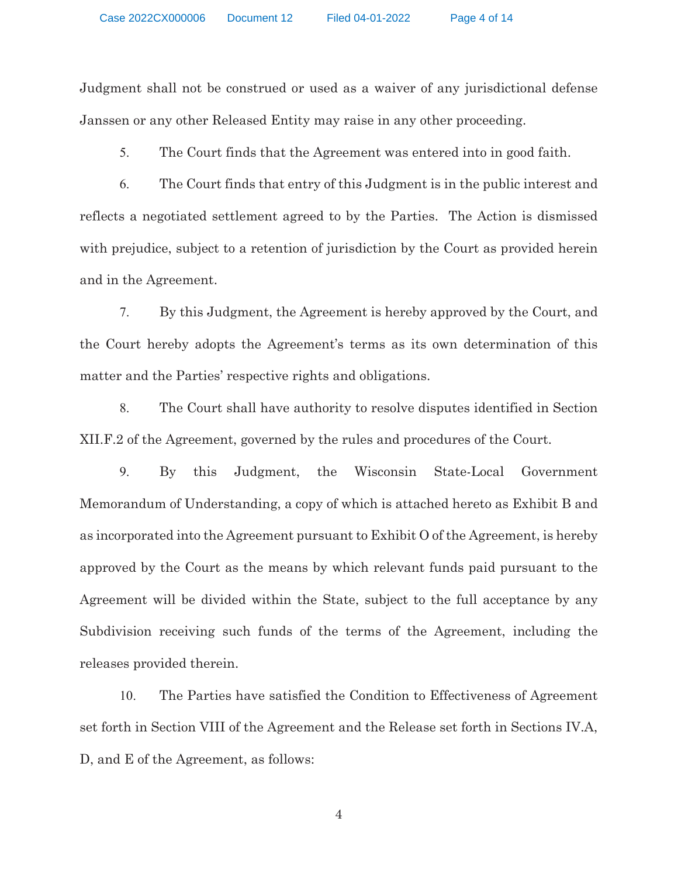Judgment shall not be construed or used as a waiver of any jurisdictional defense Janssen or any other Released Entity may raise in any other proceeding.

5. The Court finds that the Agreement was entered into in good faith.

6. The Court finds that entry of this Judgment is in the public interest and reflects a negotiated settlement agreed to by the Parties. The Action is dismissed with prejudice, subject to a retention of jurisdiction by the Court as provided herein and in the Agreement.

7. By this Judgment, the Agreement is hereby approved by the Court, and the Court hereby adopts the Agreement's terms as its own determination of this matter and the Parties' respective rights and obligations.

8. The Court shall have authority to resolve disputes identified in Section XII.F.2 of the Agreement, governed by the rules and procedures of the Court.

9. By this Judgment, the Wisconsin State-Local Government Memorandum of Understanding, a copy of which is attached hereto as Exhibit B and as incorporated into the Agreement pursuant to Exhibit O of the Agreement, is hereby approved by the Court as the means by which relevant funds paid pursuant to the Agreement will be divided within the State, subject to the full acceptance by any Subdivision receiving such funds of the terms of the Agreement, including the releases provided therein.

10. The Parties have satisfied the Condition to Effectiveness of Agreement set forth in Section VIII of the Agreement and the Release set forth in Sections IV.A, D, and E of the Agreement, as follows: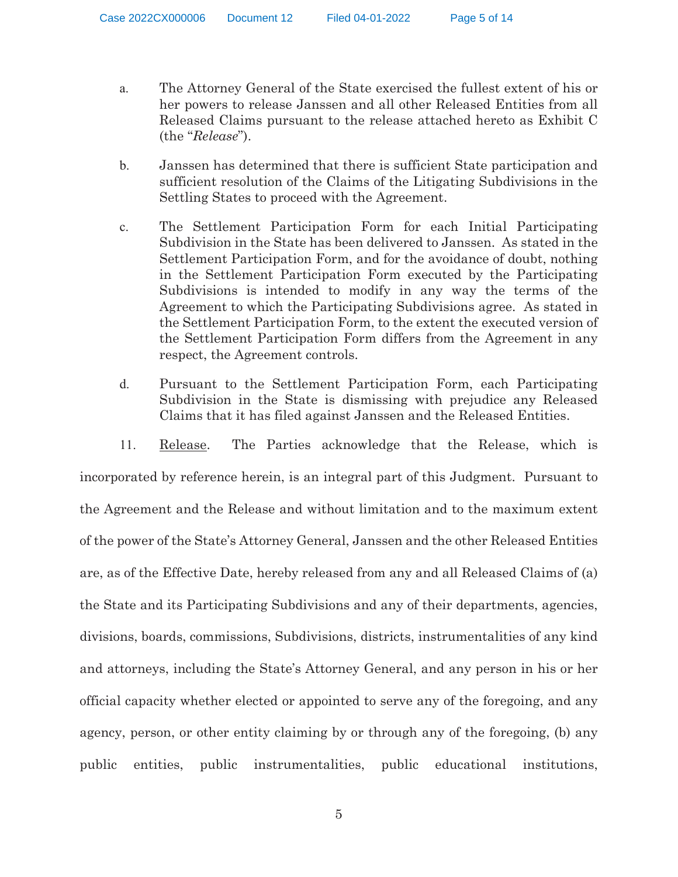Case 2022CX000006 Document 12 Filed 04-01-2022 Page 5 of 14

- a. The Attorney General of the State exercised the fullest extent of his or her powers to release Janssen and all other Released Entities from all Released Claims pursuant to the release attached hereto as Exhibit C (the "*Release*").
- b. Janssen has determined that there is sufficient State participation and sufficient resolution of the Claims of the Litigating Subdivisions in the Settling States to proceed with the Agreement.
- c. The Settlement Participation Form for each Initial Participating Subdivision in the State has been delivered to Janssen. As stated in the Settlement Participation Form, and for the avoidance of doubt, nothing in the Settlement Participation Form executed by the Participating Subdivisions is intended to modify in any way the terms of the Agreement to which the Participating Subdivisions agree. As stated in the Settlement Participation Form, to the extent the executed version of the Settlement Participation Form differs from the Agreement in any respect, the Agreement controls.
- d. Pursuant to the Settlement Participation Form, each Participating Subdivision in the State is dismissing with prejudice any Released Claims that it has filed against Janssen and the Released Entities.

11. Release. The Parties acknowledge that the Release, which is incorporated by reference herein, is an integral part of this Judgment. Pursuant to the Agreement and the Release and without limitation and to the maximum extent of the power of the State's Attorney General, Janssen and the other Released Entities are, as of the Effective Date, hereby released from any and all Released Claims of (a) the State and its Participating Subdivisions and any of their departments, agencies, divisions, boards, commissions, Subdivisions, districts, instrumentalities of any kind and attorneys, including the State's Attorney General, and any person in his or her official capacity whether elected or appointed to serve any of the foregoing, and any agency, person, or other entity claiming by or through any of the foregoing, (b) any public entities, public instrumentalities, public educational institutions,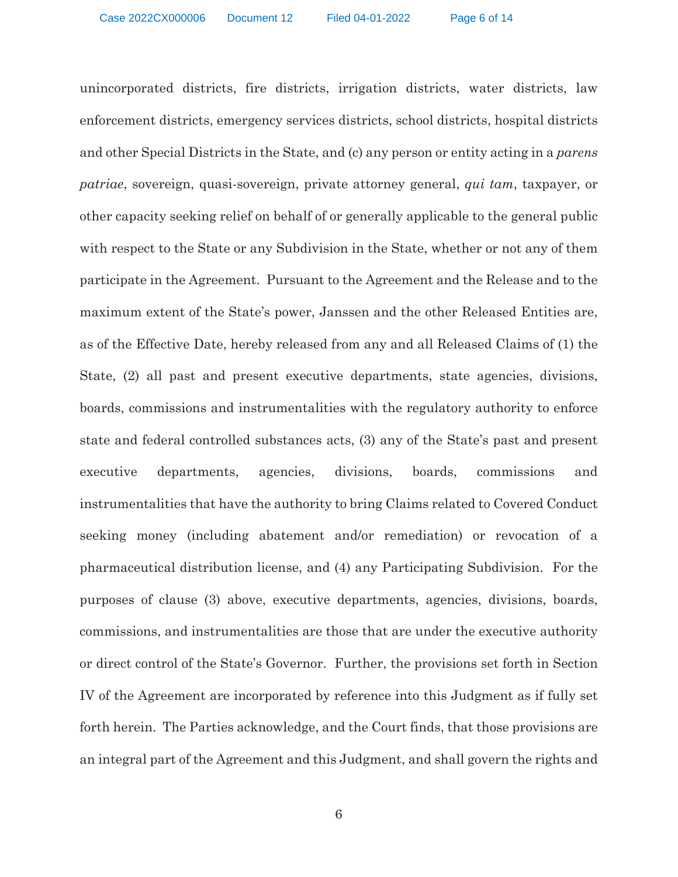unincorporated districts, fire districts, irrigation districts, water districts, law enforcement districts, emergency services districts, school districts, hospital districts and other Special Districts in the State, and (c) any person or entity acting in a *parens patriae*, sovereign, quasi-sovereign, private attorney general, *qui tam*, taxpayer, or other capacity seeking relief on behalf of or generally applicable to the general public with respect to the State or any Subdivision in the State, whether or not any of them participate in the Agreement. Pursuant to the Agreement and the Release and to the maximum extent of the State's power, Janssen and the other Released Entities are, as of the Effective Date, hereby released from any and all Released Claims of (1) the State, (2) all past and present executive departments, state agencies, divisions, boards, commissions and instrumentalities with the regulatory authority to enforce state and federal controlled substances acts, (3) any of the State's past and present executive departments, agencies, divisions, boards, commissions and instrumentalities that have the authority to bring Claims related to Covered Conduct seeking money (including abatement and/or remediation) or revocation of a pharmaceutical distribution license, and (4) any Participating Subdivision. For the purposes of clause (3) above, executive departments, agencies, divisions, boards, commissions, and instrumentalities are those that are under the executive authority or direct control of the State's Governor. Further, the provisions set forth in Section IV of the Agreement are incorporated by reference into this Judgment as if fully set forth herein. The Parties acknowledge, and the Court finds, that those provisions are an integral part of the Agreement and this Judgment, and shall govern the rights and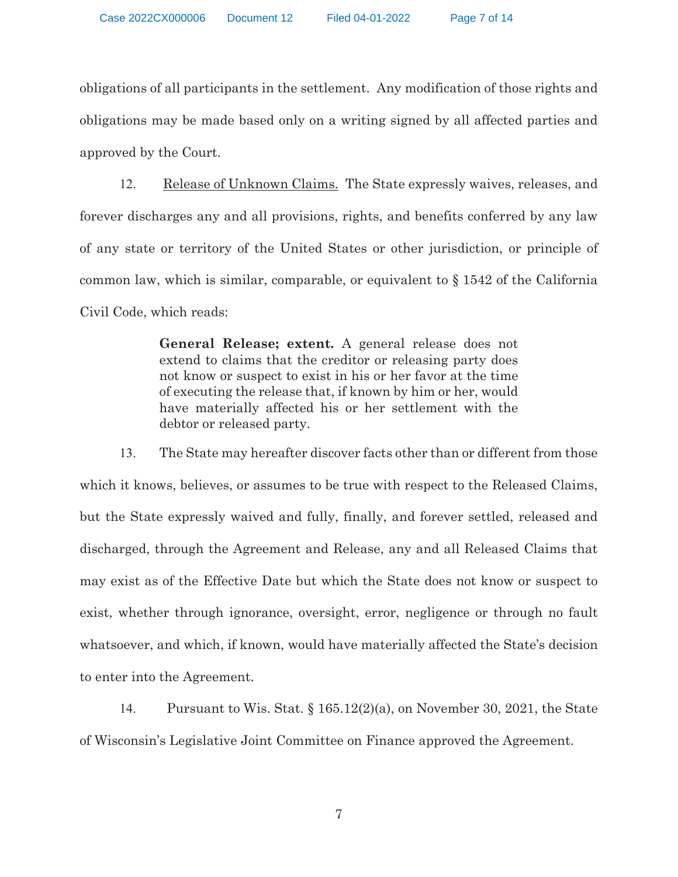obligations of all participants in the settlement. Any modification of those rights and obligations may be made based only on a writing signed by all affected parties and approved by the Court.

12. Release of Unknown Claims. The State expressly waives, releases, and forever discharges any and all provisions, rights, and benefits conferred by any law of any state or territory of the United States or other jurisdiction, or principle of common law, which is similar, comparable, or equivalent to § 1542 of the California Civil Code, which reads:

> **General Release; extent.** A general release does not extend to claims that the creditor or releasing party does not know or suspect to exist in his or her favor at the time of executing the release that, if known by him or her, would have materially affected his or her settlement with the debtor or released party.

13. The State may hereafter discover facts other than or different from those which it knows, believes, or assumes to be true with respect to the Released Claims, but the State expressly waived and fully, finally, and forever settled, released and discharged, through the Agreement and Release, any and all Released Claims that may exist as of the Effective Date but which the State does not know or suspect to exist, whether through ignorance, oversight, error, negligence or through no fault whatsoever, and which, if known, would have materially affected the State's decision to enter into the Agreement.

14. Pursuant to Wis. Stat. § 165.12(2)(a), on November 30, 2021, the State of Wisconsin's Legislative Joint Committee on Finance approved the Agreement.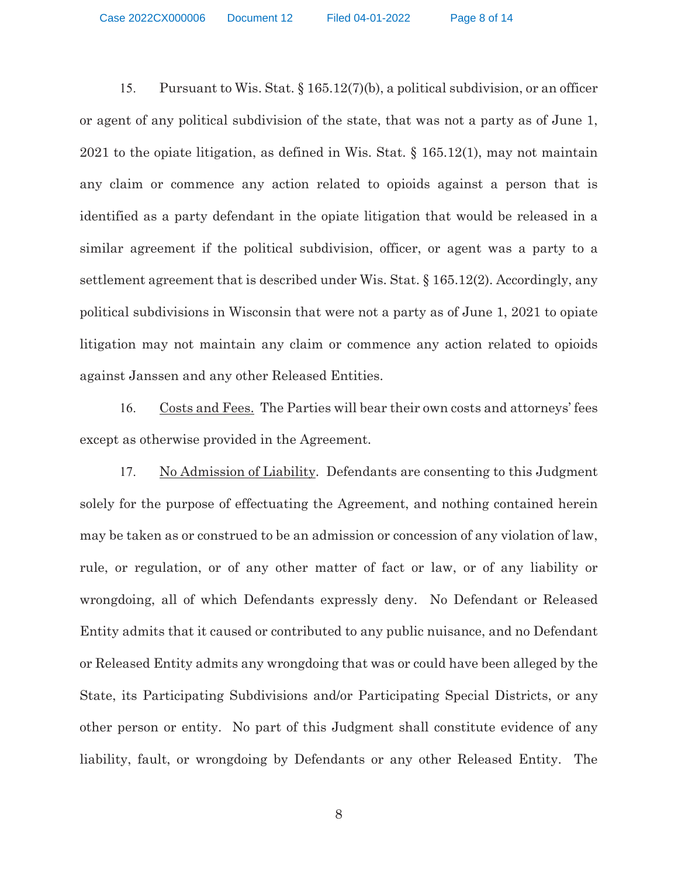Case 2022CX000006 Document 12 Filed 04-01-2022 Page 8 of 14

15. Pursuant to Wis. Stat. § 165.12(7)(b), a political subdivision, or an officer or agent of any political subdivision of the state, that was not a party as of June 1, 2021 to the opiate litigation, as defined in Wis. Stat. § 165.12(1), may not maintain any claim or commence any action related to opioids against a person that is identified as a party defendant in the opiate litigation that would be released in a similar agreement if the political subdivision, officer, or agent was a party to a settlement agreement that is described under Wis. Stat. § 165.12(2). Accordingly, any political subdivisions in Wisconsin that were not a party as of June 1, 2021 to opiate litigation may not maintain any claim or commence any action related to opioids against Janssen and any other Released Entities.

16. Costs and Fees. The Parties will bear their own costs and attorneys' fees except as otherwise provided in the Agreement.

17. No Admission of Liability. Defendants are consenting to this Judgment solely for the purpose of effectuating the Agreement, and nothing contained herein may be taken as or construed to be an admission or concession of any violation of law, rule, or regulation, or of any other matter of fact or law, or of any liability or wrongdoing, all of which Defendants expressly deny. No Defendant or Released Entity admits that it caused or contributed to any public nuisance, and no Defendant or Released Entity admits any wrongdoing that was or could have been alleged by the State, its Participating Subdivisions and/or Participating Special Districts, or any other person or entity. No part of this Judgment shall constitute evidence of any liability, fault, or wrongdoing by Defendants or any other Released Entity. The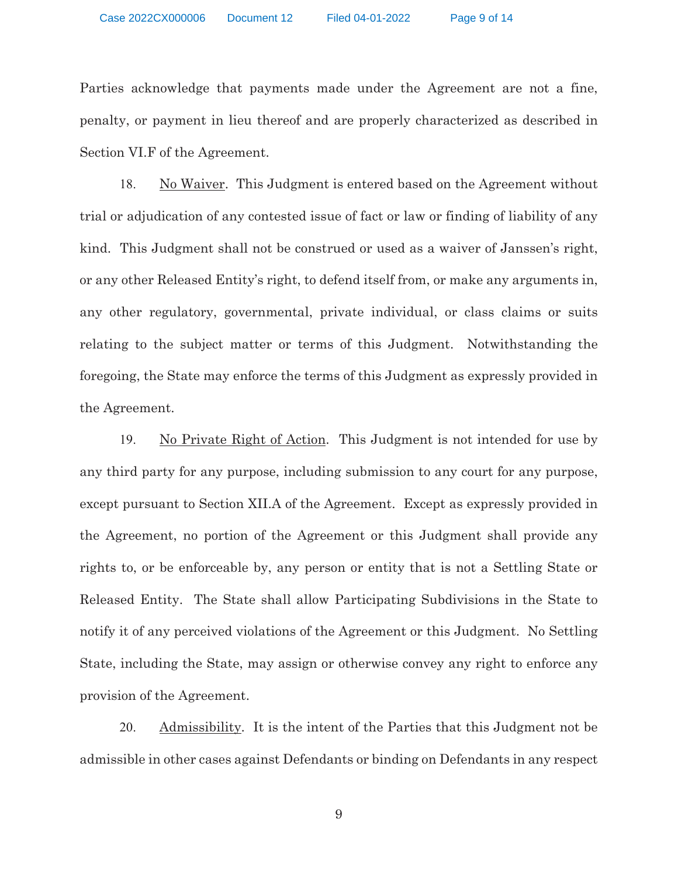Parties acknowledge that payments made under the Agreement are not a fine, penalty, or payment in lieu thereof and are properly characterized as described in Section VI.F of the Agreement.

18. No Waiver. This Judgment is entered based on the Agreement without trial or adjudication of any contested issue of fact or law or finding of liability of any kind. This Judgment shall not be construed or used as a waiver of Janssen's right, or any other Released Entity's right, to defend itself from, or make any arguments in, any other regulatory, governmental, private individual, or class claims or suits relating to the subject matter or terms of this Judgment. Notwithstanding the foregoing, the State may enforce the terms of this Judgment as expressly provided in the Agreement.

19. No Private Right of Action. This Judgment is not intended for use by any third party for any purpose, including submission to any court for any purpose, except pursuant to Section XII.A of the Agreement. Except as expressly provided in the Agreement, no portion of the Agreement or this Judgment shall provide any rights to, or be enforceable by, any person or entity that is not a Settling State or Released Entity. The State shall allow Participating Subdivisions in the State to notify it of any perceived violations of the Agreement or this Judgment. No Settling State, including the State, may assign or otherwise convey any right to enforce any provision of the Agreement.

20. Admissibility. It is the intent of the Parties that this Judgment not be admissible in other cases against Defendants or binding on Defendants in any respect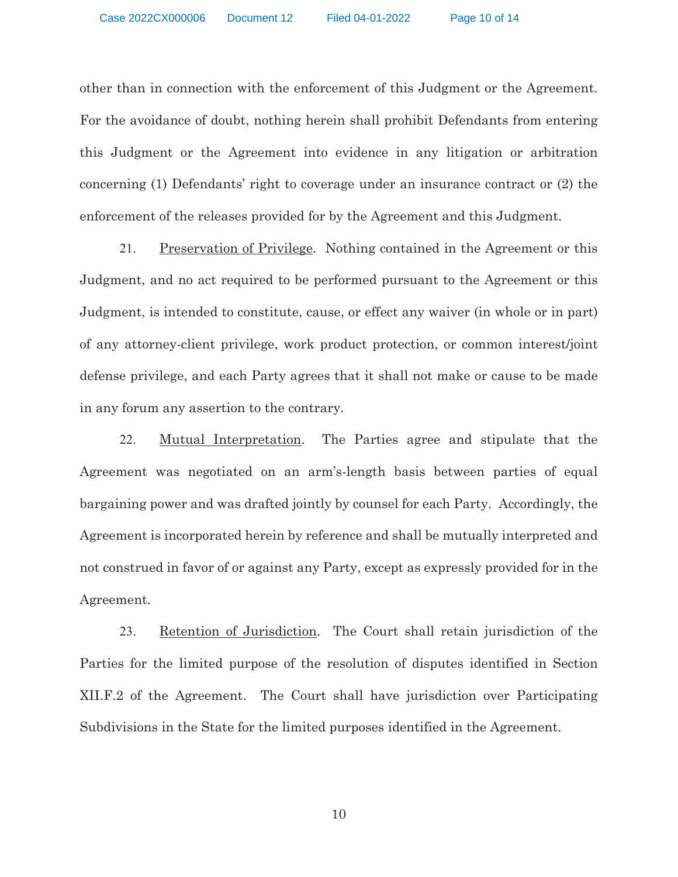other than in connection with the enforcement of this Judgment or the Agreement. For the avoidance of doubt, nothing herein shall prohibit Defendants from entering this Judgment or the Agreement into evidence in any litigation or arbitration concerning (1) Defendants' right to coverage under an insurance contract or (2) the enforcement of the releases provided for by the Agreement and this Judgment.

21. Preservation of Privilege. Nothing contained in the Agreement or this Judgment, and no act required to be performed pursuant to the Agreement or this Judgment, is intended to constitute, cause, or effect any waiver (in whole or in part) of any attorney-client privilege, work product protection, or common interest/joint defense privilege, and each Party agrees that it shall not make or cause to be made in any forum any assertion to the contrary.

22. Mutual Interpretation. The Parties agree and stipulate that the Agreement was negotiated on an arm's-length basis between parties of equal bargaining power and was drafted jointly by counsel for each Party. Accordingly, the Agreement is incorporated herein by reference and shall be mutually interpreted and not construed in favor of or against any Party, except as expressly provided for in the Agreement.

23. Retention of Jurisdiction. The Court shall retain jurisdiction of the Parties for the limited purpose of the resolution of disputes identified in Section XII.F.2 of the Agreement. The Court shall have jurisdiction over Participating Subdivisions in the State for the limited purposes identified in the Agreement.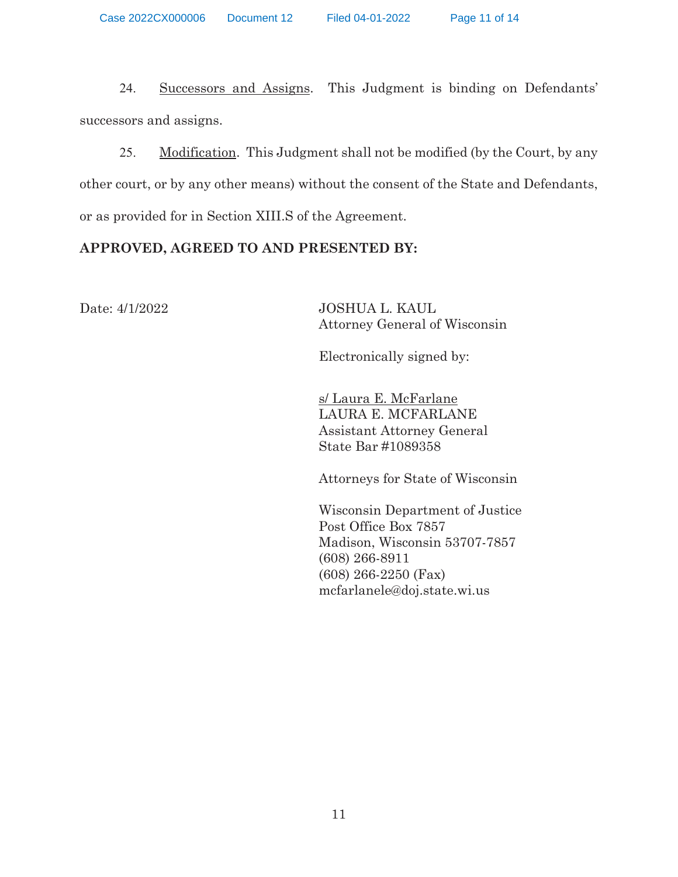24. Successors and Assigns. This Judgment is binding on Defendants' successors and assigns.

25. Modification. This Judgment shall not be modified (by the Court, by any other court, or by any other means) without the consent of the State and Defendants, or as provided for in Section XIII.S of the Agreement.

# **APPROVED, AGREED TO AND PRESENTED BY:**

Date: 4/1/2022 JOSHUA L. KAUL Attorney General of Wisconsin

Electronically signed by:

 s/ Laura E. McFarlane LAURA E. MCFARLANE Assistant Attorney General State Bar #1089358

Attorneys for State of Wisconsin

 Wisconsin Department of Justice Post Office Box 7857 Madison, Wisconsin 53707-7857 (608) 266-8911 (608) 266-2250 (Fax) mcfarlanele@doj.state.wi.us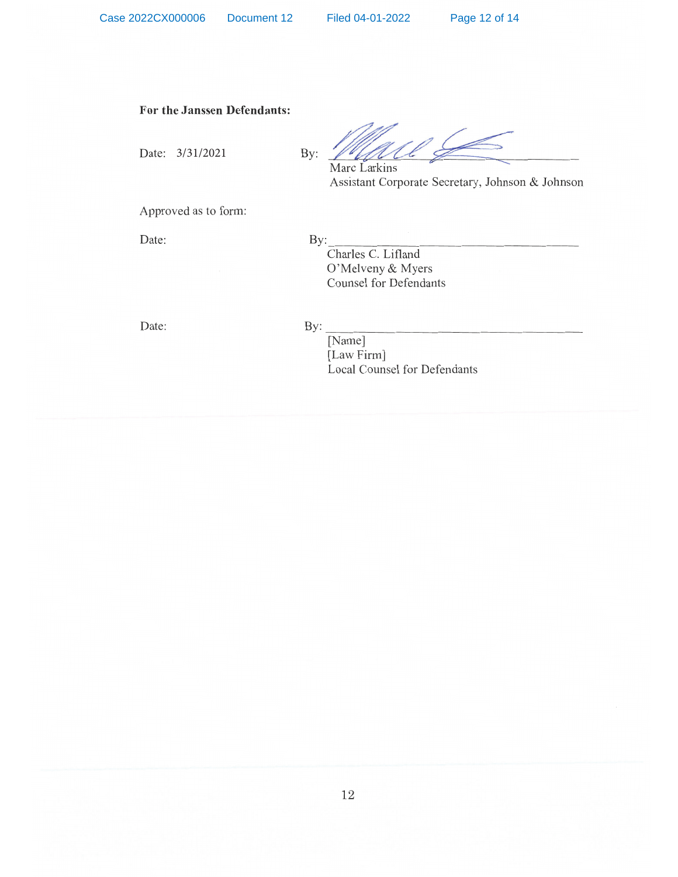#### For the Janssen Defendants:

Date: 3/31/2021

Marc Larkins Assistant Corporate Secretary, Johnson & Johnson

Approved as to form:

Date:

By: Charles C. Lifland O'Melveny & Myers **Counsel for Defendants** 

Date:

#### $By:$

By:

[Name] [Law Firm] Local Counsel for Defendants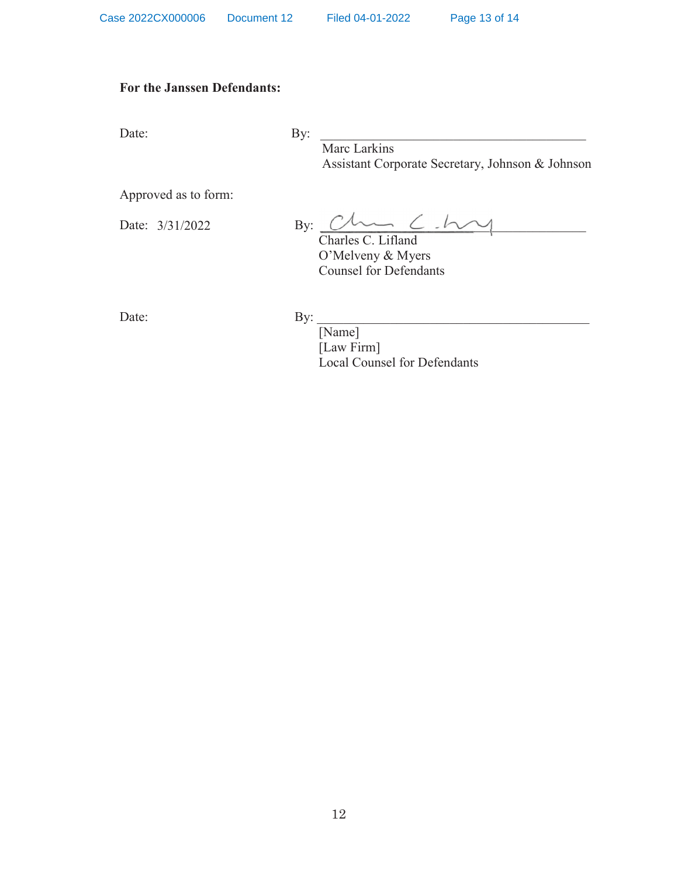## **For the Janssen Defendants:**

Date: By:

Marc Larkins Assistant Corporate Secretary, Johnson & Johnson

Approved as to form:

Date:  $3/31/2022$  By:  $\frac{y}{\text{Charles C. Lifland}}$ 

Charles C. Lifland O'Melveny & Myers Counsel for Defendants

Date: By:

[Name] [Law Firm] Local Counsel for Defendants